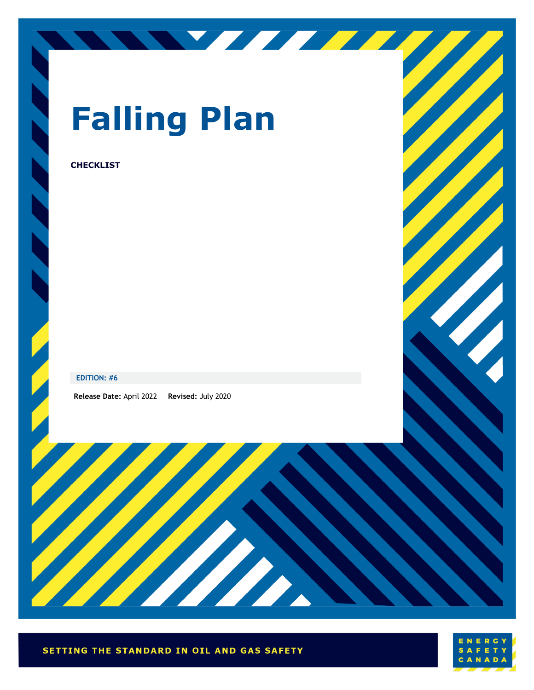

# **Falling Plan**

<u>STATISTICS</u>

#### **CHECKLIST**

#### **EDITION: #6**

**Release Date:** April 2022 **Revised:** July 2020



W

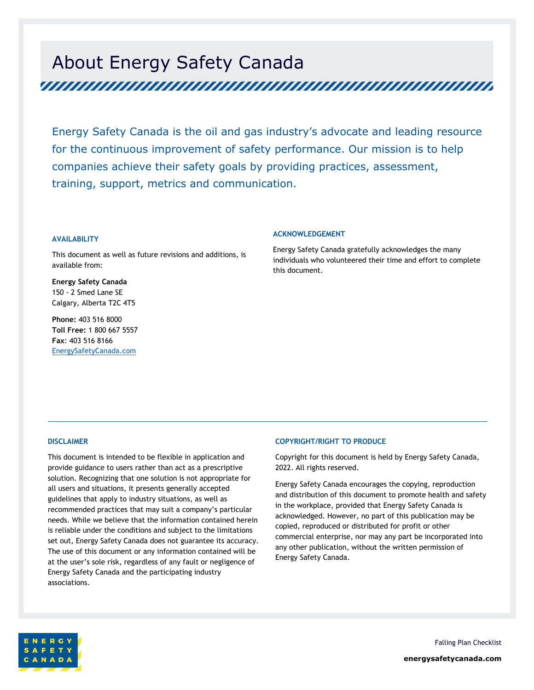## About Energy Safety Canada

Energy Safety Canada is the oil and gas industry's advocate and leading resource for the continuous improvement of safety performance. Our mission is to help companies achieve their safety goals by providing practices, assessment, training, support, metrics and communication.

#### **AVAILABILITY**

This document as well as future revisions and additions, is available from:

**Energy Safety Canada** 150 - 2 Smed Lane SE Calgary, Alberta T2C 4T5

**Phone:** 403 516 8000 **Toll Free:** 1 800 667 5557 **Fax**: 403 516 8166 EnergySafetyCanada.com

#### **ACKNOWLEDGEMENT**

Energy Safety Canada gratefully acknowledges the many individuals who volunteered their time and effort to complete this document.

#### **DISCLAIMER**

This document is intended to be flexible in application and provide guidance to users rather than act as a prescriptive solution. Recognizing that one solution is not appropriate for all users and situations, it presents generally accepted guidelines that apply to industry situations, as well as recommended practices that may suit a company's particular needs. While we believe that the information contained herein is reliable under the conditions and subject to the limitations set out, Energy Safety Canada does not guarantee its accuracy. The use of this document or any information contained will be at the user's sole risk, regardless of any fault or negligence of Energy Safety Canada and the participating industry associations.

#### **COPYRIGHT/RIGHT TO PRODUCE**

Copyright for this document is held by Energy Safety Canada, 2022. All rights reserved.

Energy Safety Canada encourages the copying, reproduction and distribution of this document to promote health and safety in the workplace, provided that Energy Safety Canada is acknowledged. However, no part of this publication may be copied, reproduced or distributed for profit or other commercial enterprise, nor may any part be incorporated into any other publication, without the written permission of Energy Safety Canada.



Falling Plan Checklist **energysafetycanada.com**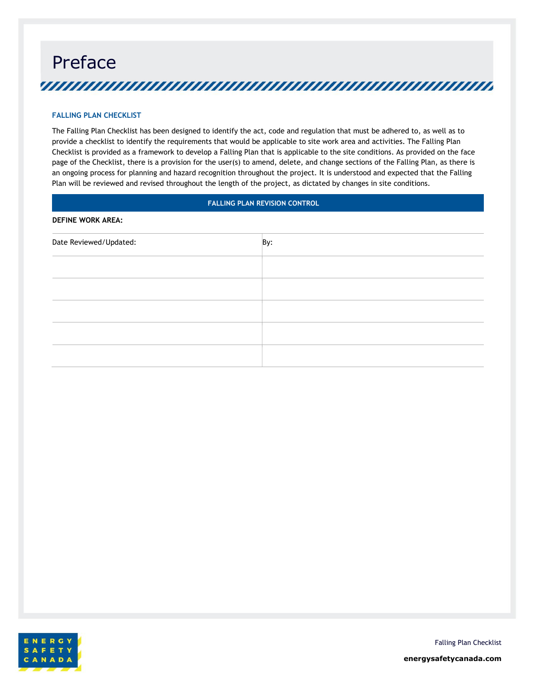## Preface <u>yuunuunuunuunuunuunuunuunuunuunuu</u>

#### **FALLING PLAN CHECKLIST**

The Falling Plan Checklist has been designed to identify the act, code and regulation that must be adhered to, as well as to provide a checklist to identify the requirements that would be applicable to site work area and activities. The Falling Plan Checklist is provided as a framework to develop a Falling Plan that is applicable to the site conditions. As provided on the face page of the Checklist, there is a provision for the user(s) to amend, delete, and change sections of the Falling Plan, as there is an ongoing process for planning and hazard recognition throughout the project. It is understood and expected that the Falling Plan will be reviewed and revised throughout the length of the project, as dictated by changes in site conditions.

#### **FALLING PLAN REVISION CONTROL**

#### **DEFINE WORK AREA:**

| Date Reviewed/Updated: | By: |
|------------------------|-----|
|                        |     |
|                        |     |
|                        |     |
|                        |     |
|                        |     |



Falling Plan Checklist

**energysafetycanada.com**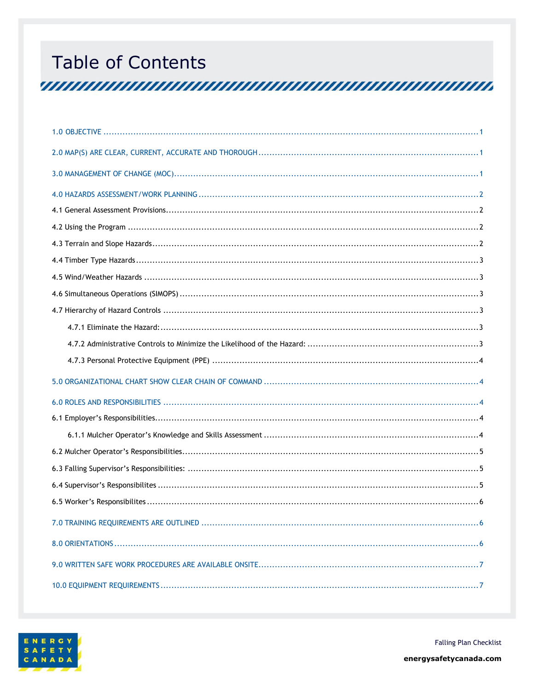## **Table of Contents**

<u>TERRITAN INITIA INITIA INITIA INITIA INITIA INITIA INITIA INITIA INITIA INITIA INITIA INITIA INITIA INITIA IN</u>



**Falling Plan Checklist**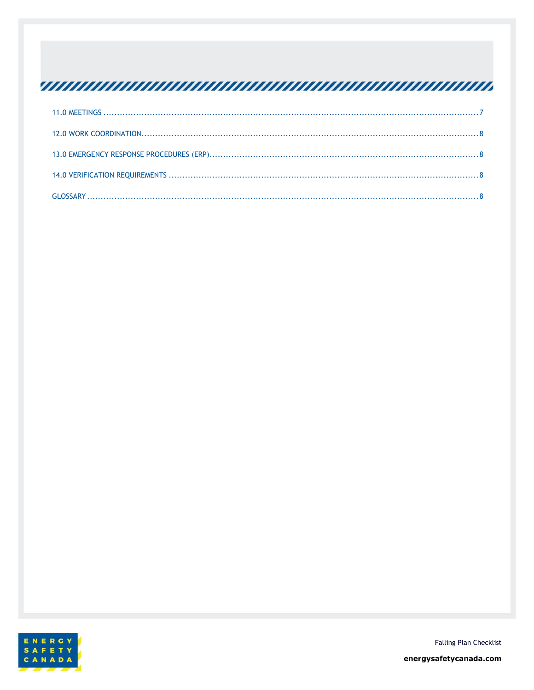## <u>TERRITORIA INDIANA INDIANA INDIANA ANNO 1999 DE SERVICIO IN ESPANYOLO INDIANA INDIANA INDIANA E SERVICIO INDI</u>



**Falling Plan Checklist** 

energysafetycanada.com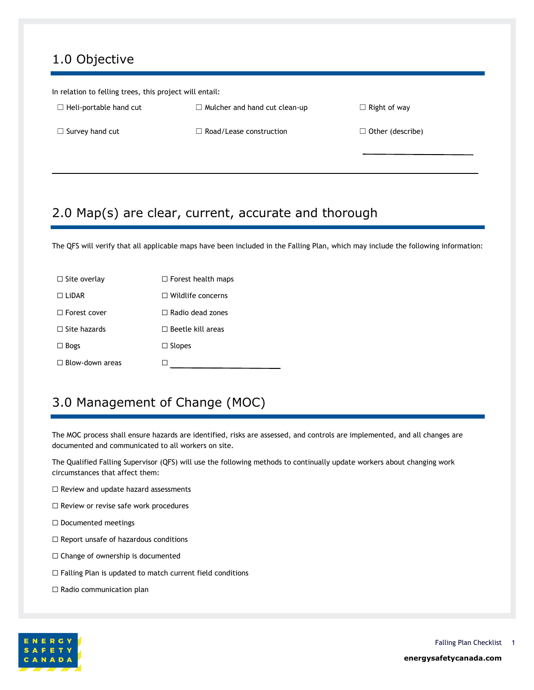## <span id="page-5-0"></span>1.0 Objective

| In relation to felling trees, this project will entail: |                                      |                         |  |
|---------------------------------------------------------|--------------------------------------|-------------------------|--|
| $\Box$ Heli-portable hand cut                           | $\Box$ Mulcher and hand cut clean-up | $\Box$ Right of way     |  |
| $\Box$ Survey hand cut                                  | $\Box$ Road/Lease construction       | $\Box$ Other (describe) |  |
|                                                         |                                      |                         |  |

## <span id="page-5-1"></span>2.0 Map(s) are clear, current, accurate and thorough

The QFS will verify that all applicable maps have been included in the Falling Plan, which may include the following information:

| $\Box$ Site overlay    | $\Box$ Forest health maps |
|------------------------|---------------------------|
| $\Box$ LiDAR           | $\Box$ Wildlife concerns  |
| $\Box$ Forest cover    | $\Box$ Radio dead zones   |
| $\Box$ Site hazards    | $\Box$ Beetle kill areas  |
| $\Box$ Bogs            | $\Box$ Slopes             |
| $\Box$ Blow-down areas |                           |

## <span id="page-5-2"></span>3.0 Management of Change (MOC)

The MOC process shall ensure hazards are identified, risks are assessed, and controls are implemented, and all changes are documented and communicated to all workers on site.

The Qualified Falling Supervisor (QFS) will use the following methods to continually update workers about changing work circumstances that affect them:

- ☐ Review and update hazard assessments
- ☐ Review or revise safe work procedures
- ☐ Documented meetings
- $\Box$  Report unsafe of hazardous conditions
- ☐ Change of ownership is documented
- ☐ Falling Plan is updated to match current field conditions
- □ Radio communication plan

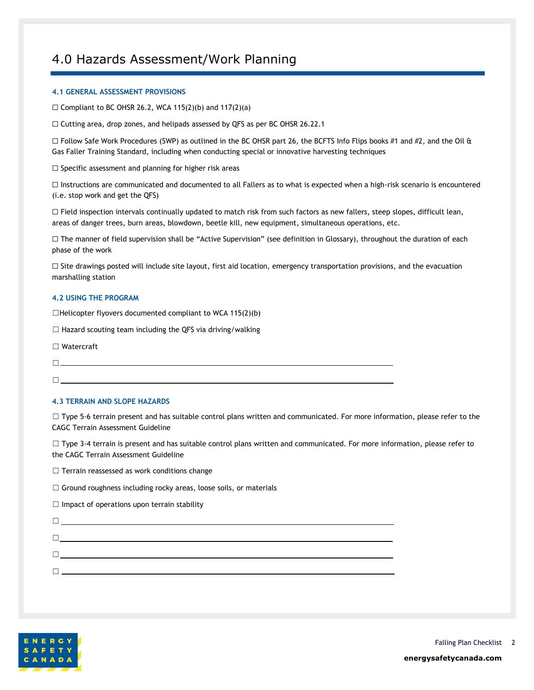## <span id="page-6-0"></span>4.0 Hazards Assessment/Work Planning

#### <span id="page-6-1"></span>**4.1 GENERAL ASSESSMENT PROVISIONS**

 $\Box$  Compliant to BC OHSR 26.2, WCA 115(2)(b) and 117(2)(a)

☐ Cutting area, drop zones, and helipads assessed by QFS as per BC OHSR 26.22.1

 $\Box$  Follow Safe Work Procedures (SWP) as outlined in the BC OHSR part 26, the BCFTS Info Flips books #1 and #2, and the Oil & Gas Faller Training Standard, including when conducting special or innovative harvesting techniques

□ Specific assessment and planning for higher risk areas

☐ Instructions are communicated and documented to all Fallers as to what is expected when a high-risk scenario is encountered (i.e. stop work and get the QFS)

□ Field inspection intervals continually updated to match risk from such factors as new fallers, steep slopes, difficult lean, areas of danger trees, burn areas, blowdown, beetle kill, new equipment, simultaneous operations, etc.

☐ The manner of field supervision shall be "Active Supervision" (see definition in Glossary), throughout the duration of each phase of the work

 $\Box$  Site drawings posted will include site layout, first aid location, emergency transportation provisions, and the evacuation marshalling station

#### <span id="page-6-2"></span>**4.2 USING THE PROGRAM**

 $\Box$ Helicopter flyovers documented compliant to WCA 115(2)(b)

 $\Box$  Hazard scouting team including the QFS via driving/walking

☐ Watercraft

☐

☐

#### <span id="page-6-3"></span>**4.3 TERRAIN AND SLOPE HAZARDS**

□ Type 5-6 terrain present and has suitable control plans written and communicated. For more information, please refer to the CAGC Terrain Assessment Guideline

 $\Box$  Type 3-4 terrain is present and has suitable control plans written and communicated. For more information, please refer to the CAGC Terrain Assessment Guideline

 $\Box$  Terrain reassessed as work conditions change

 $\Box$  Ground roughness including rocky areas, loose soils, or materials

 $\Box$  Impact of operations upon terrain stability

☐ ☐ ☐ ☐

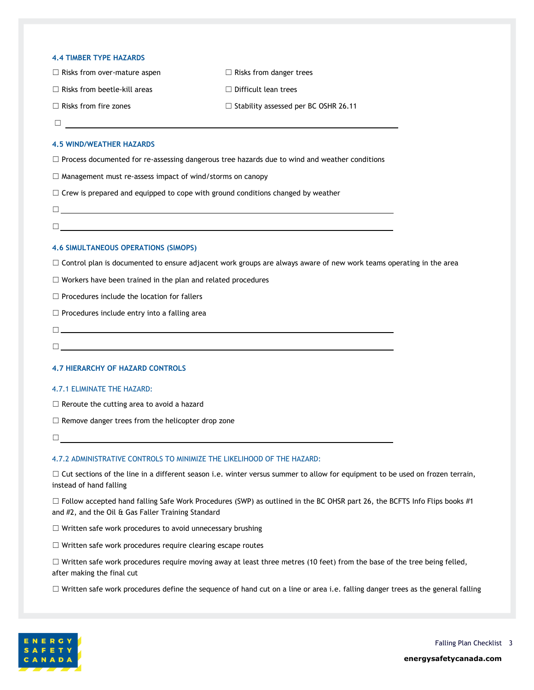#### <span id="page-7-0"></span>**4.4 TIMBER TYPE HAZARDS**

| $\Box$ Risks from over-mature aspen | $\Box$ Risks from danger trees              |
|-------------------------------------|---------------------------------------------|
| $\Box$ Risks from beetle-kill areas | $\Box$ Difficult lean trees                 |
| $\Box$ Risks from fire zones        | $\Box$ Stability assessed per BC OSHR 26.11 |

☐

#### <span id="page-7-1"></span>**4.5 WIND/WEATHER HAZARDS**

 $\Box$  Process documented for re-assessing dangerous tree hazards due to wind and weather conditions

☐ Management must re-assess impact of wind/storms on canopy

 $\Box$  Crew is prepared and equipped to cope with ground conditions changed by weather

- ☐
- ☐

#### <span id="page-7-2"></span>**4.6 SIMULTANEOUS OPERATIONS (SIMOPS)**

□ Control plan is documented to ensure adjacent work groups are always aware of new work teams operating in the area

☐ Workers have been trained in the plan and related procedures

☐ Procedures include the location for fallers

 $\Box$  Procedures include entry into a falling area

☐

☐

#### <span id="page-7-3"></span>**4.7 HIERARCHY OF HAZARD CONTROLS**

#### <span id="page-7-4"></span>4.7.1 ELIMINATE THE HAZARD:

 $\Box$  Reroute the cutting area to avoid a hazard

 $\Box$  Remove danger trees from the helicopter drop zone

☐

#### <span id="page-7-5"></span>4.7.2 ADMINISTRATIVE CONTROLS TO MINIMIZE THE LIKELIHOOD OF THE HAZARD:

□ Cut sections of the line in a different season i.e. winter versus summer to allow for equipment to be used on frozen terrain, instead of hand falling

 $\Box$  Follow accepted hand falling Safe Work Procedures (SWP) as outlined in the BC OHSR part 26, the BCFTS Info Flips books #1 and #2, and the Oil & Gas Faller Training Standard

□ Written safe work procedures to avoid unnecessary brushing

☐ Written safe work procedures require clearing escape routes

 $\Box$  Written safe work procedures require moving away at least three metres (10 feet) from the base of the tree being felled, after making the final cut

☐ Written safe work procedures define the sequence of hand cut on a line or area i.e. falling danger trees as the general falling

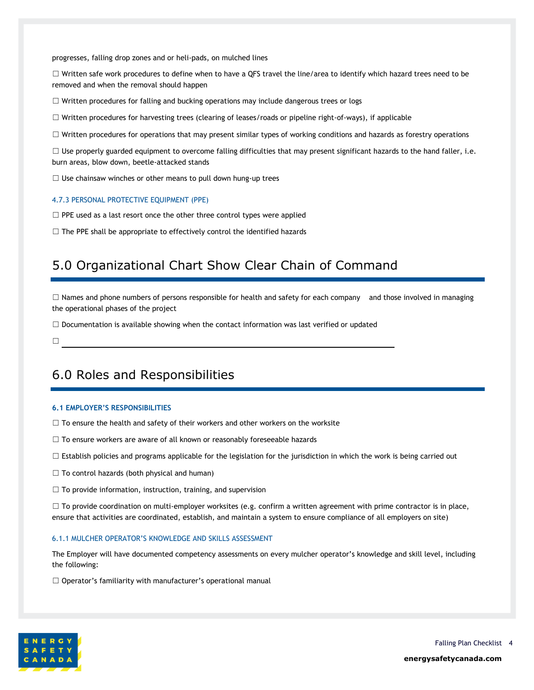progresses, falling drop zones and or heli-pads, on mulched lines

 $\Box$  Written safe work procedures to define when to have a QFS travel the line/area to identify which hazard trees need to be removed and when the removal should happen

☐ Written procedures for falling and bucking operations may include dangerous trees or logs

☐ Written procedures for harvesting trees (clearing of leases/roads or pipeline right-of-ways), if applicable

□ Written procedures for operations that may present similar types of working conditions and hazards as forestry operations

 $\Box$  Use properly guarded equipment to overcome falling difficulties that may present significant hazards to the hand faller, i.e. burn areas, blow down, beetle-attacked stands

 $\Box$  Use chainsaw winches or other means to pull down hung-up trees

#### <span id="page-8-0"></span>4.7.3 PERSONAL PROTECTIVE EQUIPMENT (PPE)

 $\Box$  PPE used as a last resort once the other three control types were applied

<span id="page-8-1"></span> $\Box$  The PPE shall be appropriate to effectively control the identified hazards

## 5.0 Organizational Chart Show Clear Chain of Command

 $\Box$  Names and phone numbers of persons responsible for health and safety for each company and those involved in managing the operational phases of the project

 $\Box$  Documentation is available showing when the contact information was last verified or updated

<span id="page-8-2"></span>☐

## 6.0 Roles and Responsibilities

#### <span id="page-8-3"></span>**6.1 EMPLOYER'S RESPONSIBILITIES**

- $\Box$  To ensure the health and safety of their workers and other workers on the worksite
- □ To ensure workers are aware of all known or reasonably foreseeable hazards
- $\Box$  Establish policies and programs applicable for the legislation for the jurisdiction in which the work is being carried out
- $\Box$  To control hazards (both physical and human)
- $\Box$  To provide information, instruction, training, and supervision

 $\Box$  To provide coordination on multi-employer worksites (e.g. confirm a written agreement with prime contractor is in place, ensure that activities are coordinated, establish, and maintain a system to ensure compliance of all employers on site)

#### <span id="page-8-4"></span>6.1.1 MULCHER OPERATOR'S KNOWLEDGE AND SKILLS ASSESSMENT

The Employer will have documented competency assessments on every mulcher operator's knowledge and skill level, including the following:

 $\Box$  Operator's familiarity with manufacturer's operational manual

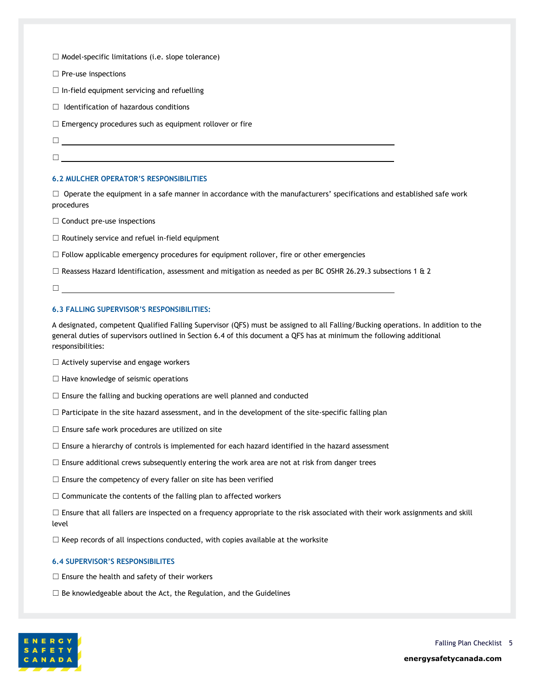☐ Model-specific limitations (i.e. slope tolerance)

☐ Pre-use inspections

 $\Box$  In-field equipment servicing and refuelling

 $\Box$  Identification of hazardous conditions

 $\Box$  Emergency procedures such as equipment rollover or fire

- ☐
- $\Box$

#### <span id="page-9-0"></span>**6.2 MULCHER OPERATOR'S RESPONSIBILITIES**

 $\Box$  Operate the equipment in a safe manner in accordance with the manufacturers' specifications and established safe work procedures

□ Conduct pre-use inspections

☐ Routinely service and refuel in-field equipment

 $\Box$  Follow applicable emergency procedures for equipment rollover, fire or other emergencies

□ Reassess Hazard Identification, assessment and mitigation as needed as per BC OSHR 26.29.3 subsections 1 & 2

☐

#### <span id="page-9-1"></span>**6.3 FALLING SUPERVISOR'S RESPONSIBILITIES:**

A designated, competent Qualified Falling Supervisor (QFS) must be assigned to all Falling/Bucking operations. In addition to the general duties of supervisors outlined in Section 6.4 of this document a QFS has at minimum the following additional responsibilities:

 $\Box$  Actively supervise and engage workers

- $\Box$  Have knowledge of seismic operations
- $\Box$  Ensure the falling and bucking operations are well planned and conducted
- $\Box$  Participate in the site hazard assessment, and in the development of the site-specific falling plan
- $\Box$  Ensure safe work procedures are utilized on site
- $\Box$  Ensure a hierarchy of controls is implemented for each hazard identified in the hazard assessment
- $\Box$  Ensure additional crews subsequently entering the work area are not at risk from danger trees
- $\Box$  Ensure the competency of every faller on site has been verified

 $\Box$  Communicate the contents of the falling plan to affected workers

□ Ensure that all fallers are inspected on a frequency appropriate to the risk associated with their work assignments and skill level

□ Keep records of all inspections conducted, with copies available at the worksite

#### <span id="page-9-2"></span>**6.4 SUPERVISOR'S RESPONSIBILITES**

- $\Box$  Ensure the health and safety of their workers
- $\Box$  Be knowledgeable about the Act, the Regulation, and the Guidelines

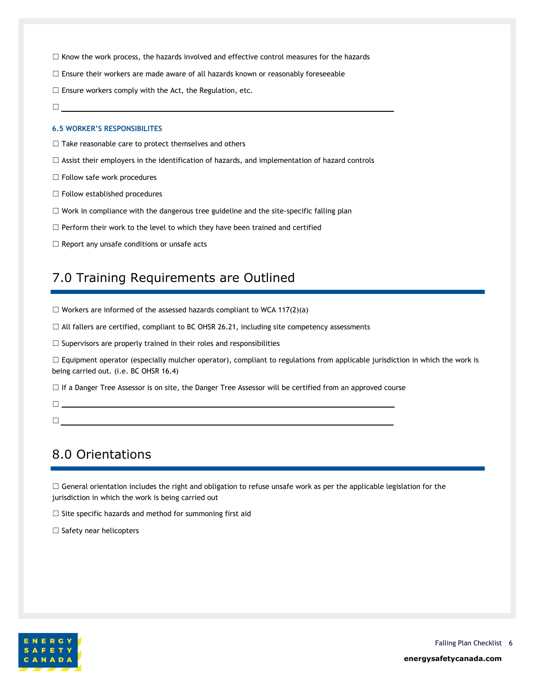- $\Box$  Know the work process, the hazards involved and effective control measures for the hazards
- $\Box$  Ensure their workers are made aware of all hazards known or reasonably foreseeable
- $\Box$  Ensure workers comply with the Act, the Regulation, etc.
- ☐

#### <span id="page-10-0"></span>**6.5 WORKER'S RESPONSIBILITES**

- $\Box$  Take reasonable care to protect themselves and others
- $\Box$  Assist their employers in the identification of hazards, and implementation of hazard controls
- ☐ Follow safe work procedures
- ☐ Follow established procedures
- ☐ Work in compliance with the dangerous tree guideline and the site-specific falling plan
- $\Box$  Perform their work to the level to which they have been trained and certified
- <span id="page-10-1"></span>☐ Report any unsafe conditions or unsafe acts

☐

### 7.0 Training Requirements are Outlined

- $\Box$  Workers are informed of the assessed hazards compliant to WCA 117(2)(a)
- $\Box$  All fallers are certified, compliant to BC OHSR 26.21, including site competency assessments
- $\Box$  Supervisors are properly trained in their roles and responsibilities

 $\Box$  Equipment operator (especially mulcher operator), compliant to regulations from applicable jurisdiction in which the work is being carried out. (i.e. BC OHSR 16.4)

☐ If a Danger Tree Assessor is on site, the Danger Tree Assessor will be certified from an approved course

### ☐

## <span id="page-10-2"></span>8.0 Orientations

 $\Box$  General orientation includes the right and obligation to refuse unsafe work as per the applicable legislation for the jurisdiction in which the work is being carried out

 $\Box$  Site specific hazards and method for summoning first aid

□ Safety near helicopters

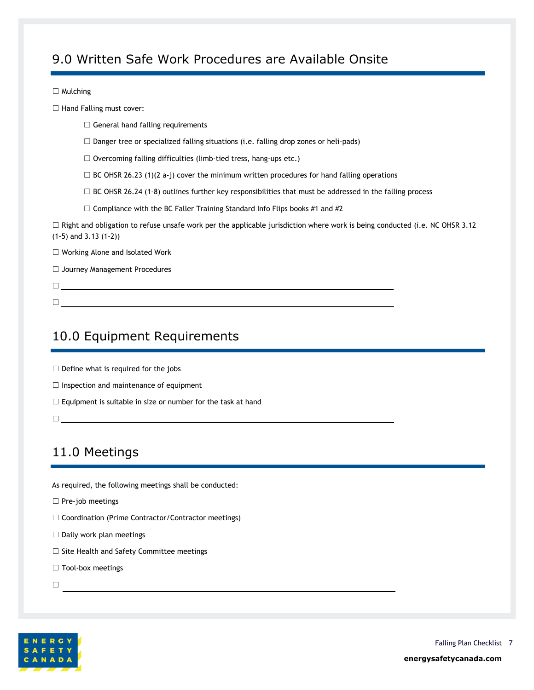## <span id="page-11-0"></span>9.0 Written Safe Work Procedures are Available Onsite

#### □ Mulching

□ Hand Falling must cover:

- $\Box$  General hand falling requirements
- $\Box$  Danger tree or specialized falling situations (i.e. falling drop zones or heli-pads)
- $\Box$  Overcoming falling difficulties (limb-tied tress, hang-ups etc.)
- $\Box$  BC OHSR 26.23 (1)(2 a-j) cover the minimum written procedures for hand falling operations
- $\Box$  BC OHSR 26.24 (1-8) outlines further key responsibilities that must be addressed in the falling process
- $\Box$  Compliance with the BC Faller Training Standard Info Flips books #1 and #2

 $\Box$  Right and obligation to refuse unsafe work per the applicable jurisdiction where work is being conducted (i.e. NC OHSR 3.12 (1-5) and 3.13 (1-2))

☐ Working Alone and Isolated Work

- ☐ Journey Management Procedures
- ☐
- <span id="page-11-1"></span>10.0 Equipment Requirements

☐

- $\Box$  Define what is required for the jobs
- □ Inspection and maintenance of equipment
- $\Box$  Equipment is suitable in size or number for the task at hand
- <span id="page-11-2"></span>☐

## 11.0 Meetings

As required, the following meetings shall be conducted:

- □ Pre-job meetings
- ☐ Coordination (Prime Contractor/Contractor meetings)

- $\Box$  Daily work plan meetings
- ☐ Site Health and Safety Committee meetings
- □ Tool-box meetings
- ☐

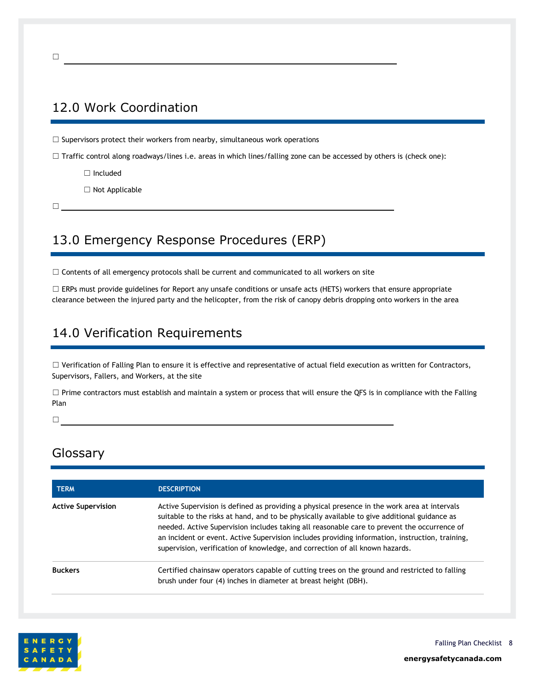## <span id="page-12-0"></span>12.0 Work Coordination

 $\Box$  Supervisors protect their workers from nearby, simultaneous work operations

 $\Box$  Traffic control along roadways/lines i.e. areas in which lines/falling zone can be accessed by others is (check one):

☐ Included

☐ Not Applicable

☐

## <span id="page-12-1"></span>13.0 Emergency Response Procedures (ERP)

□ Contents of all emergency protocols shall be current and communicated to all workers on site

 $\Box$  ERPs must provide guidelines for Report any unsafe conditions or unsafe acts (HETS) workers that ensure appropriate clearance between the injured party and the helicopter, from the risk of canopy debris dropping onto workers in the area

## <span id="page-12-2"></span>14.0 Verification Requirements

☐ Verification of Falling Plan to ensure it is effective and representative of actual field execution as written for Contractors, Supervisors, Fallers, and Workers, at the site

□ Prime contractors must establish and maintain a system or process that will ensure the QFS is in compliance with the Falling Plan

<span id="page-12-3"></span>☐

## Glossary

| <b>TERM</b>               | <b>DESCRIPTION</b>                                                                                                                                                                                                                                                                                                                                                                                                                                                             |  |
|---------------------------|--------------------------------------------------------------------------------------------------------------------------------------------------------------------------------------------------------------------------------------------------------------------------------------------------------------------------------------------------------------------------------------------------------------------------------------------------------------------------------|--|
| <b>Active Supervision</b> | Active Supervision is defined as providing a physical presence in the work area at intervals<br>suitable to the risks at hand, and to be physically available to give additional guidance as<br>needed. Active Supervision includes taking all reasonable care to prevent the occurrence of<br>an incident or event. Active Supervision includes providing information, instruction, training,<br>supervision, verification of knowledge, and correction of all known hazards. |  |
| <b>Buckers</b>            | Certified chainsaw operators capable of cutting trees on the ground and restricted to falling<br>brush under four (4) inches in diameter at breast height (DBH).                                                                                                                                                                                                                                                                                                               |  |



**energysafetycanada.com**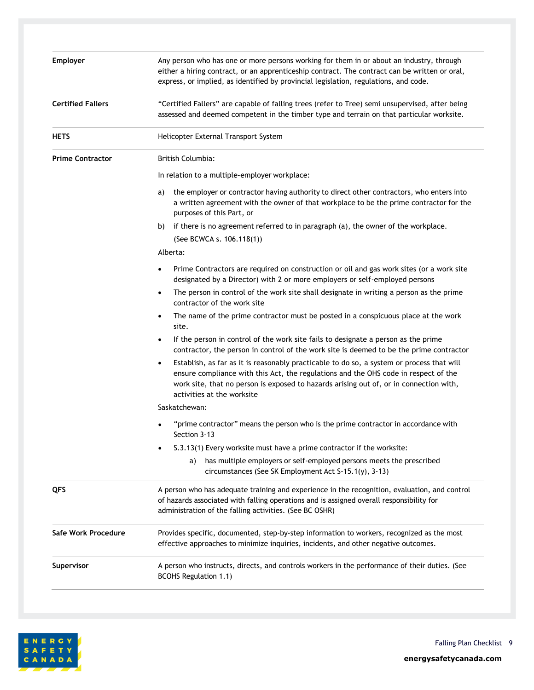| <b>Employer</b>          | Any person who has one or more persons working for them in or about an industry, through<br>either a hiring contract, or an apprenticeship contract. The contract can be written or oral,                                                                                                                     |  |  |
|--------------------------|---------------------------------------------------------------------------------------------------------------------------------------------------------------------------------------------------------------------------------------------------------------------------------------------------------------|--|--|
|                          | express, or implied, as identified by provincial legislation, regulations, and code.                                                                                                                                                                                                                          |  |  |
| <b>Certified Fallers</b> | "Certified Fallers" are capable of falling trees (refer to Tree) semi unsupervised, after being<br>assessed and deemed competent in the timber type and terrain on that particular worksite.                                                                                                                  |  |  |
| <b>HETS</b>              | Helicopter External Transport System                                                                                                                                                                                                                                                                          |  |  |
| <b>Prime Contractor</b>  | <b>British Columbia:</b>                                                                                                                                                                                                                                                                                      |  |  |
|                          | In relation to a multiple-employer workplace:                                                                                                                                                                                                                                                                 |  |  |
|                          | the employer or contractor having authority to direct other contractors, who enters into<br>a)<br>a written agreement with the owner of that workplace to be the prime contractor for the<br>purposes of this Part, or                                                                                        |  |  |
|                          | if there is no agreement referred to in paragraph (a), the owner of the workplace.<br>b)<br>(See BCWCA s. 106.118(1))                                                                                                                                                                                         |  |  |
|                          | Alberta:                                                                                                                                                                                                                                                                                                      |  |  |
|                          | Prime Contractors are required on construction or oil and gas work sites (or a work site<br>٠<br>designated by a Director) with 2 or more employers or self-employed persons                                                                                                                                  |  |  |
|                          | The person in control of the work site shall designate in writing a person as the prime<br>contractor of the work site                                                                                                                                                                                        |  |  |
|                          | The name of the prime contractor must be posted in a conspicuous place at the work<br>٠<br>site.                                                                                                                                                                                                              |  |  |
|                          | If the person in control of the work site fails to designate a person as the prime<br>contractor, the person in control of the work site is deemed to be the prime contractor                                                                                                                                 |  |  |
|                          | Establish, as far as it is reasonably practicable to do so, a system or process that will<br>٠<br>ensure compliance with this Act, the regulations and the OHS code in respect of the<br>work site, that no person is exposed to hazards arising out of, or in connection with,<br>activities at the worksite |  |  |
|                          | Saskatchewan:                                                                                                                                                                                                                                                                                                 |  |  |
|                          | "prime contractor" means the person who is the prime contractor in accordance with<br>Section 3-13                                                                                                                                                                                                            |  |  |
|                          | S.3.13(1) Every worksite must have a prime contractor if the worksite:                                                                                                                                                                                                                                        |  |  |
|                          | has multiple employers or self-employed persons meets the prescribed<br>a)<br>circumstances (See SK Employment Act S-15.1(y), 3-13)                                                                                                                                                                           |  |  |
| QFS                      | A person who has adequate training and experience in the recognition, evaluation, and control<br>of hazards associated with falling operations and is assigned overall responsibility for<br>administration of the falling activities. (See BC OSHR)                                                          |  |  |
| Safe Work Procedure      | Provides specific, documented, step-by-step information to workers, recognized as the most<br>effective approaches to minimize inquiries, incidents, and other negative outcomes.                                                                                                                             |  |  |
| Supervisor               | A person who instructs, directs, and controls workers in the performance of their duties. (See<br><b>BCOHS Regulation 1.1)</b>                                                                                                                                                                                |  |  |

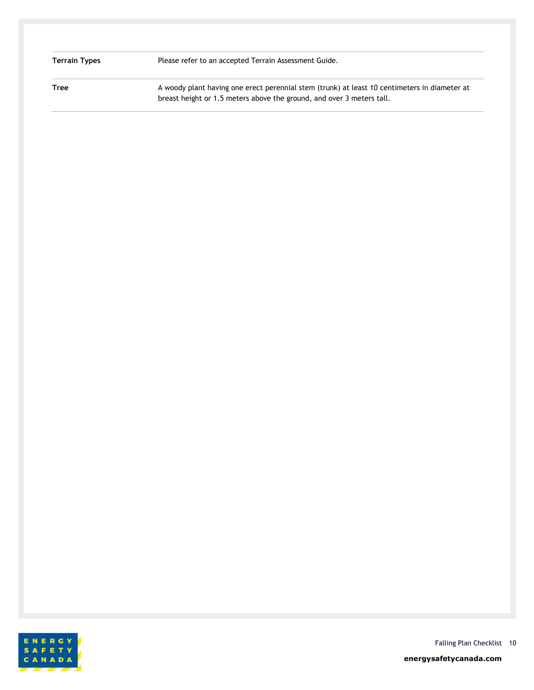|  | Terrain Types |
|--|---------------|
|  |               |

Please refer to an accepted Terrain Assessment Guide.

Tree **A** woody plant having one erect perennial stem (trunk) at least 10 centimeters in diameter at breast height or 1.5 meters above the ground, and over 3 meters tall.